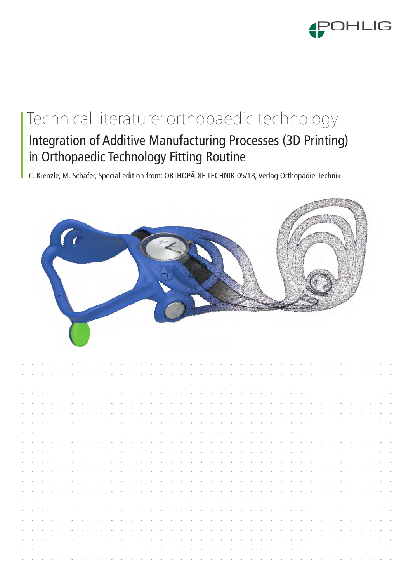

# Integration of Additive Manufacturing Processes (3D Printing) Technical literature: orthopaedic technology

in Orthopaedic Technology Fitting Routine

C. Kienzle, M. Schäfer, Special edition from: ORTHOPÄDIE TECHNIK 05/18, Verlag Orthopädie-Technik



|  |  |                                                                                                                     |  |  |                                                                                                                                                                                                                                | the contract of the contract of the contract of the contract of the contract of the contract of the contract of |  |                                                                                                                                                                                                                               |  |  |  |  |  |  |  |  |  |                                                                                                                                                                                                                               |                                                                                                                     |
|--|--|---------------------------------------------------------------------------------------------------------------------|--|--|--------------------------------------------------------------------------------------------------------------------------------------------------------------------------------------------------------------------------------|-----------------------------------------------------------------------------------------------------------------|--|-------------------------------------------------------------------------------------------------------------------------------------------------------------------------------------------------------------------------------|--|--|--|--|--|--|--|--|--|-------------------------------------------------------------------------------------------------------------------------------------------------------------------------------------------------------------------------------|---------------------------------------------------------------------------------------------------------------------|
|  |  |                                                                                                                     |  |  |                                                                                                                                                                                                                                |                                                                                                                 |  | a constitution of the constitution of the constitution of the constitution of the constitution of the constitution of the constitution of the constitution of the constitution of the constitution of the constitution of the |  |  |  |  |  |  |  |  |  |                                                                                                                                                                                                                               |                                                                                                                     |
|  |  |                                                                                                                     |  |  |                                                                                                                                                                                                                                |                                                                                                                 |  |                                                                                                                                                                                                                               |  |  |  |  |  |  |  |  |  | a constitution of the constitution of the constitution of the constitution of the constitution of the constitution of the constitution of the constitution of the constitution of the constitution of the constitution of the |                                                                                                                     |
|  |  |                                                                                                                     |  |  | a constitution of the constitution of the constitution of the constitution of the constitution of the constitution of the constitution of the constitution of the constitution of the constitution of the constitution of the  |                                                                                                                 |  |                                                                                                                                                                                                                               |  |  |  |  |  |  |  |  |  |                                                                                                                                                                                                                               |                                                                                                                     |
|  |  |                                                                                                                     |  |  | المناطر والمناطر والمناطر والمناطر والمناطر والمناطر والمناطر والمناطر والمناطر والمناطر والمناطر والمناطر والمناطر                                                                                                            |                                                                                                                 |  |                                                                                                                                                                                                                               |  |  |  |  |  |  |  |  |  |                                                                                                                                                                                                                               |                                                                                                                     |
|  |  |                                                                                                                     |  |  | and a complete the complete state of the complete state of the complete state of the complete state of the complete state of the complete state of the complete state of the complete state of the complete state of the compl |                                                                                                                 |  |                                                                                                                                                                                                                               |  |  |  |  |  |  |  |  |  |                                                                                                                                                                                                                               |                                                                                                                     |
|  |  |                                                                                                                     |  |  | and a construction of the construction of the construction of the construction of the construction of the construction of the construction of the construction of the construction of the construction of the construction of  |                                                                                                                 |  |                                                                                                                                                                                                                               |  |  |  |  |  |  |  |  |  |                                                                                                                                                                                                                               |                                                                                                                     |
|  |  |                                                                                                                     |  |  |                                                                                                                                                                                                                                |                                                                                                                 |  |                                                                                                                                                                                                                               |  |  |  |  |  |  |  |  |  |                                                                                                                                                                                                                               | and the contract of the contract of the contract of the contract of the contract of the contract of the contract of |
|  |  |                                                                                                                     |  |  | a constitution de la caractería de la caractería de la caractería de la caractería de la caractería                                                                                                                            |                                                                                                                 |  |                                                                                                                                                                                                                               |  |  |  |  |  |  |  |  |  |                                                                                                                                                                                                                               |                                                                                                                     |
|  |  |                                                                                                                     |  |  |                                                                                                                                                                                                                                |                                                                                                                 |  |                                                                                                                                                                                                                               |  |  |  |  |  |  |  |  |  | المناطق والمناطر والمناطر والمناطر والمناطر والمناطر والمناطر والمناطر والمناطر والمناطر والمناطر والمناطر والمناطر                                                                                                           |                                                                                                                     |
|  |  |                                                                                                                     |  |  | a constitution of the constitution of the constitution of the constitution of the constitution of the constitution                                                                                                             |                                                                                                                 |  |                                                                                                                                                                                                                               |  |  |  |  |  |  |  |  |  |                                                                                                                                                                                                                               |                                                                                                                     |
|  |  |                                                                                                                     |  |  | المناطر والمناطر والمناطر والمناطر والمناطر والمناطر والمناطر والمناطر والمناطر والمناطر والمناطر والمناطر والمناطر                                                                                                            |                                                                                                                 |  |                                                                                                                                                                                                                               |  |  |  |  |  |  |  |  |  |                                                                                                                                                                                                                               |                                                                                                                     |
|  |  |                                                                                                                     |  |  |                                                                                                                                                                                                                                |                                                                                                                 |  |                                                                                                                                                                                                                               |  |  |  |  |  |  |  |  |  |                                                                                                                                                                                                                               | and the second contract of the second contract of the second contract of the second contract of the second second   |
|  |  |                                                                                                                     |  |  | المناصر والمناور والمناور والمناور والمناور والمناور والمناور والمناور والمناور والمناور والمناور والمناور                                                                                                                     |                                                                                                                 |  |                                                                                                                                                                                                                               |  |  |  |  |  |  |  |  |  |                                                                                                                                                                                                                               |                                                                                                                     |
|  |  |                                                                                                                     |  |  |                                                                                                                                                                                                                                |                                                                                                                 |  |                                                                                                                                                                                                                               |  |  |  |  |  |  |  |  |  | المناصر والمناور والمناصر والمناور والمناور والمناور والمناور والمناور والمناور والمناور والمناور والمناور والمناور                                                                                                           |                                                                                                                     |
|  |  |                                                                                                                     |  |  | a constitution of the constitution of the constitution of the constitution of the constitution of the constitution                                                                                                             |                                                                                                                 |  |                                                                                                                                                                                                                               |  |  |  |  |  |  |  |  |  |                                                                                                                                                                                                                               |                                                                                                                     |
|  |  |                                                                                                                     |  |  | the contract of the contract of                                                                                                                                                                                                | المناصر والمناصر والمناصر والمناصر والمناصر والمناصر والمناصر والمناصر والمناصر والمناصر والمناصر               |  |                                                                                                                                                                                                                               |  |  |  |  |  |  |  |  |  |                                                                                                                                                                                                                               |                                                                                                                     |
|  |  | and the contract of the contract of the contract of the contract of the contract of the contract of the contract of |  |  |                                                                                                                                                                                                                                |                                                                                                                 |  |                                                                                                                                                                                                                               |  |  |  |  |  |  |  |  |  |                                                                                                                                                                                                                               |                                                                                                                     |
|  |  |                                                                                                                     |  |  | القاربة والقاربة والقاربة والقاربة والقاربة والقاربة والقاربة والقاربة والقاربة والقاربة والقاربة والقاربة                                                                                                                     |                                                                                                                 |  |                                                                                                                                                                                                                               |  |  |  |  |  |  |  |  |  |                                                                                                                                                                                                                               |                                                                                                                     |
|  |  |                                                                                                                     |  |  |                                                                                                                                                                                                                                |                                                                                                                 |  |                                                                                                                                                                                                                               |  |  |  |  |  |  |  |  |  | a car a car a car a car a car a car a car a car a car a car a car a car a car a car a car a car a car a car                                                                                                                   |                                                                                                                     |
|  |  |                                                                                                                     |  |  |                                                                                                                                                                                                                                |                                                                                                                 |  |                                                                                                                                                                                                                               |  |  |  |  |  |  |  |  |  |                                                                                                                                                                                                                               |                                                                                                                     |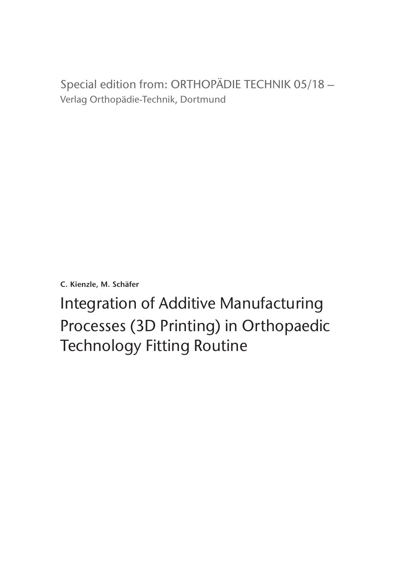Special edition from: ORTHOPÄDIE TECHNIK 05/18 – Verlag Orthopädie-Technik, Dortmund

**C. Kienzle, M. Schäfer**

Integration of Additive Manufacturing Processes (3D Printing) in Orthopaedic Technology Fitting Routine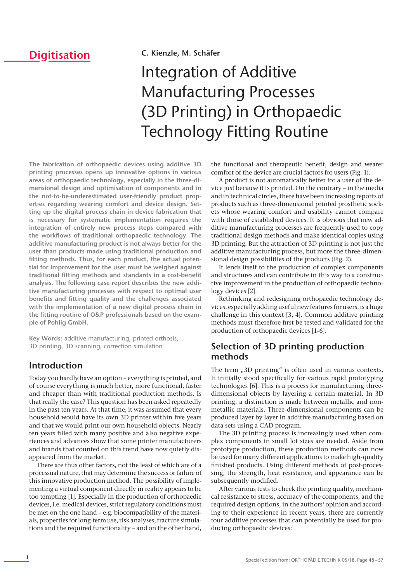# **Digitisation**

#### **C. Kienzle, M. Schäfer**

# Integration of Additive **Manufacturing Processes** (3D Printing) in Orthopaedic Technology Fitting Routine

**The fabrication of orthopaedic devices using additive 3D printing processes opens up innovative options in various areas of orthopaedic technology, especially in the three-dimensional design and optimisation of components and in the not-to-be-underestimated user-friendly product properties regarding wearing comfort and device design. Setting up the digital process chain in device fabrication that is necessary for systematic implementation requires the integration of entirely new process steps compared with the workflows of traditional orthopaedic technology. The additive manufacturing product is not always better for the user than products made using traditional production and fitting methods. Thus, for each product, the actual potential for improvement for the user must be weighed against traditional fitting methods and standards in a cost-benefit analysis. The following case report describes the new additive manufacturing processes with respect to optimal user benefits and fitting quality and the challenges associated with the implementation of a new digital process chain in the fitting routine of O&P professionals based on the example of Pohlig GmbH.**

**Key Words:** additive manufacturing, printed orthosis, 3D printing, 3D scanning, correction simulation

# **Introduction**

Today you hardly have an option – everything is printed, and of course everything is much better, more functional, faster and cheaper than with traditional production methods. Is that really the case? This question has been asked repeatedly in the past ten years. At that time, it was assumed that every household would have its own 3D printer within five years and that we would print our own household objects. Nearly ten years filled with many positive and also negative experiences and advances show that some printer manufacturers and brands that counted on this trend have now quietly disappeared from the market.

There are thus other factors, not the least of which are of a processual nature, that may determine the success or failure of this innovative production method. The possibility of implementing a virtual component directly in reality appears to be too tempting [1]. Especially in the production of orthopaedic devices, i.e. medical devices, strict regulatory conditions must be met on the one hand – e.g. biocompatibility of the materials, properties for long-term use, risk analyses, fracture simulations and the required functionality – and on the other hand,

the functional and therapeutic benefit, design and wearer comfort of the device are crucial factors for users (Fig. 1).

A product is not automatically better for a user of the device just because it is printed. On the contrary – in the media and in technical circles, there have been increasing reports of products such as three-dimensional printed prosthetic sockets whose wearing comfort and usability cannot compare with those of established devices. It is obvious that new additive manufacturing processes are frequently used to copy traditional design methods and make identical copies using 3D printing. But the attraction of 3D printing is not just the additive manufacturing process, but more the three-dimensional design possibilities of the products (Fig. 2).

It lends itself to the production of complex components and structures and can contribute in this way to a constructive improvement in the production of orthopaedic technology devices [2].

Rethinking and redesigning orthopaedic technology devices, especially adding useful new features for users, is a huge challenge in this context  $[3, 4]$ . Common additive printing methods must therefore first be tested and validated for the production of orthopaedic devices [1-6].

# **Selection of 3D printing production methods**

The term  $,3D$  printing" is often used in various contexts. It initially stood specifically for various rapid prototyping technologies [6]. This is a process for manufacturing threedimensional objects by layering a certain material. In 3D printing, a distinction is made between metallic and nonmetallic materials. Three-dimensional components can be produced layer by layer in additive manufacturing based on data sets using a CAD program.

The 3D printing process is increasingly used when complex components in small lot sizes are needed. Aside from prototype production, these production methods can now be used for many different applications to make high-quality finished products. Using different methods of post-processing, the strength, heat resistance, and appearance can be subsequently modified.

After various tests to check the printing quality, mechanical resistance to stress, accuracy of the components, and the required design options, in the authors' opinion and according to their experience in recent years, there are currently four additive processes that can potentially be used for producing orthopaedic devices: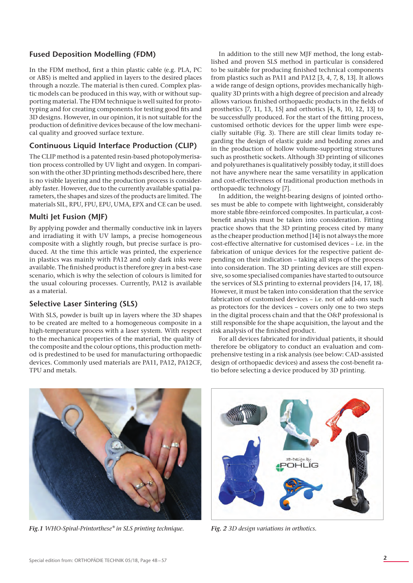## **Fused Deposition Modelling (FDM)**

In the FDM method, first a thin plastic cable (e.g. PLA, PC or ABS) is melted and applied in layers to the desired places through a nozzle. The material is then cured. Complex plastic models can be produced in this way, with or without supporting material. The FDM technique is well suited for prototyping and for creating components for testing good fits and 3D designs. However, in our opinion, it is not suitable for the production of definitive devices because of the low mechanical quality and grooved surface texture.

## **Continuous Liquid Interface Production (CLIP)**

The CLIP method is a patented resin-based photopolymerisation process controlled by UV light and oxygen. In comparison with the other 3D printing methods described here, there is no visible layering and the production process is considerably faster. However, due to the currently available spatial parameters, the shapes and sizes of the products are limited. The materials SIL, RPU, FPU, EPU, UMA, EPX and CE can be used.

## **Multi Jet Fusion (MJF)**

By applying powder and thermally conductive ink in layers and irradiating it with UV lamps, a precise homogeneous composite with a slightly rough, but precise surface is produced. At the time this article was printed, the experience in plastics was mainly with PA12 and only dark inks were available. The finished product is therefore grey in a best-case scenario, which is why the selection of colours is limited for the usual colouring processes. Currently, PA12 is available as a material.

## **Selective Laser Sintering (SLS)**

With SLS, powder is built up in layers where the 3D shapes to be created are melted to a homogeneous composite in a high-temperature process with a laser system. With respect to the mechanical properties of the material, the quality of the composite and the colour options, this production method is predestined to be used for manufacturing orthopaedic devices. Commonly used materials are PA11, PA12, PA12CF, TPU and metals.

In addition to the still new MJF method, the long established and proven SLS method in particular is considered to be suitable for producing finished technical components from plastics such as PA11 and PA12 [3, 4, 7, 8, 13]. It allows a wide range of design options, provides mechanically highquality 3D prints with a high degree of precision and already allows various finished orthopaedic products in the fields of prosthetics [7, 11, 13, 15] and orthotics [4, 8, 10, 12, 13] to be successfully produced. For the start of the fitting process, customised orthotic devices for the upper limb were especially suitable (Fig. 3). There are still clear limits today regarding the design of elastic guide and bedding zones and in the production of hollow volume-supporting structures such as prosthetic sockets. Although 3D printing of silicones and polyurethanes is qualitatively possibly today, it still does not have anywhere near the same versatility in application and cost-effectiveness of traditional production methods in orthopaedic technology [7].

In addition, the weight-bearing designs of jointed orthoses must be able to compete with lightweight, considerably more stable fibre-reinforced composites. In particular, a costbenefit analysis must be taken into consideration. Fitting practice shows that the 3D printing process cited by many as the cheaper production method [14] is not always the more cost-effective alternative for customised devices – i.e. in the fabrication of unique devices for the respective patient depending on their indication – taking all steps of the process into consideration. The 3D printing devices are still expensive, so some specialised companies have started to outsource the services of SLS printing to external providers [14, 17, 18]. However, it must be taken into consideration that the service fabrication of customised devices – i.e. not of add-ons such as protectors for the devices – covers only one to two steps in the digital process chain and that the O&P professional is still responsible for the shape acquisition, the layout and the risk analysis of the finished product.

For all devices fabricated for individual patients, it should therefore be obligatory to conduct an evaluation and comprehensive testing in a risk analysis (see below: CAD-assisted design of orthopaedic devices) and assess the cost-benefit ratio before selecting a device produced by 3D printing.



*Fig.1 WHO-Spiral-Printorthese® in SLS printing technique. Fig. 2 3D design variations in orthotics.*

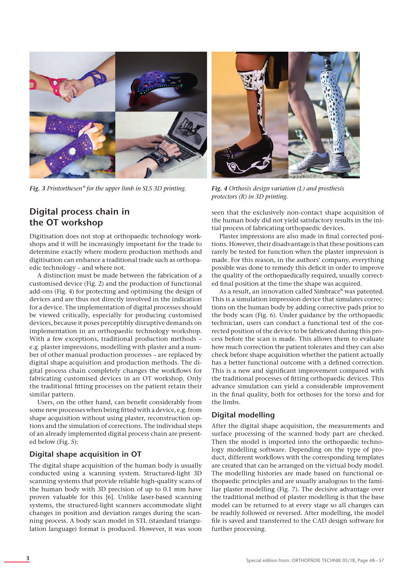

*Fig. 3 Printorthesen® for the upper limb in SLS 3D printing. Fig. 4 Orthosis design variation (L) and prosthesis* 

# **Digital process chain in the OT workshop**

Digitisation does not stop at orthopaedic technology workshops and it will be increasingly important for the trade to determine exactly where modern production methods and digitisation can enhance a traditional trade such as orthopaedic technology – and where not.

A distinction must be made between the fabrication of a customised device (Fig. 2) and the production of functional add-ons (Fig. 4) for protecting and optimising the design of devices and are thus not directly involved in the indication for a device. The implementation of digital processes should be viewed critically, especially for producing customised devices, because it poses perceptibly disruptive demands on implementation in an orthopaedic technology workshop. With a few exceptions, traditional production methods – e.g. plaster impressions, modelling with plaster and a number of other manual production processes – are replaced by digital shape acquisition and production methods. The digital process chain completely changes the workflows for fabricating customised devices in an OT workshop. Only the traditional fitting processes on the patient retain their similar pattern.

Users, on the other hand, can benefit considerably from some new processes when being fitted with a device, e.g. from shape acquisition without using plaster, reconstruction options and the simulation of corrections. The individual steps of an already implemented digital process chain are presented below (Fig. 5):

#### **Digital shape acquisition in OT**

The digital shape acquisition of the human body is usually conducted using a scanning system. Structured-light 3D scanning systems that provide reliable high-quality scans of the human body with 3D precision of up to 0.1 mm have proven valuable for this [6]. Unlike laser-based scanning systems, the structured-light scanners accommodate slight changes in position and deviation ranges during the scanning process. A body scan model in STL (standard triangulation language) format is produced. However, it was soon



*protectors (R) in 3D printing.*

seen that the exclusively non-contact shape acquisition of the human body did not yield satisfactory results in the initial process of fabricating orthopaedic devices.

Plaster impressions are also made in final corrected positions. However, their disadvantage is that these positions can rarely be tested for function when the plaster impression is made. For this reason, in the authors' company, everything possible was done to remedy this deficit in order to improve the quality of the orthopaedically required, usually corrected final position at the time the shape was acquired.

As a result, an innovation called Simbrace® was patented. This is a simulation impression device that simulates corrections on the human body by adding corrective pads prior to the body scan (Fig. 6). Under guidance by the orthopaedic technician, users can conduct a functional test of the corrected position of the device to be fabricated during this process before the scan is made. This allows them to evaluate how much correction the patient tolerates and they can also check before shape acquisition whether the patient actually has a better functional outcome with a defined correction. This is a new and significant improvement compared with the traditional processes of fitting orthopaedic devices. This advance simulation can yield a considerable improvement in the final quality, both for orthoses for the torso and for the limbs.

#### **Digital modelling**

After the digital shape acquisition, the measurements and surface processing of the scanned body part are checked. Then the model is imported into the orthopaedic technology modelling software. Depending on the type of product, different workflows with the corresponding templates are created that can be arranged on the virtual body model. The modelling histories are made based on functional orthopaedic principles and are usually analogous to the familiar plaster modelling (Fig. 7). The decisive advantage over the traditional method of plaster modelling is that the base model can be returned to at every stage so all changes can be readily followed or reversed. After modelling, the model file is saved and transferred to the CAD design software for further processing.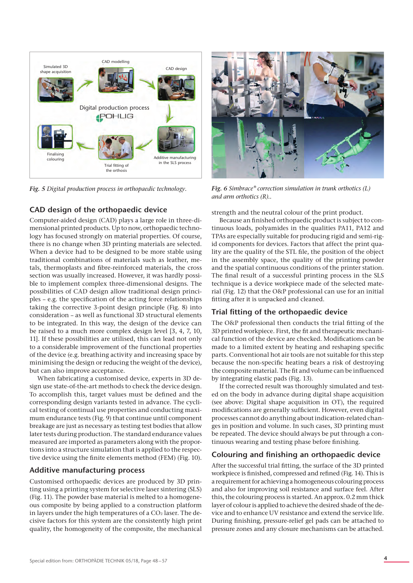

#### **CAD design of the orthopaedic device**

Computer-aided design (CAD) plays a large role in three-dimensional printed products. Up to now, orthopaedic technology has focused strongly on material properties. Of course, there is no change when 3D printing materials are selected. When a device had to be designed to be more stable using traditional combinations of materials such as leather, metals, thermoplasts and fibre-reinforced materials, the cross section was usually increased. However, it was hardly possible to implement complex three-dimensional designs. The possibilities of CAD design allow traditional design principles – e.g. the specification of the acting force relationships taking the corrective 3-point design principle (Fig. 8) into consideration – as well as functional 3D structural elements to be integrated. In this way, the design of the device can be raised to a much more complex design level [3, 4, 7, 10, 11]. If these possibilities are utilised, this can lead not only to a considerable improvement of the functional properties of the device (e.g. breathing activity and increasing space by minimising the design or reducing the weight of the device), but can also improve acceptance.

When fabricating a customised device, experts in 3D design use state-of-the-art methods to check the device design. To accomplish this, target values must be defined and the corresponding design variants tested in advance. The cyclical testing of continual use properties and conducting maximum endurance tests (Fig. 9) that continue until component breakage are just as necessary as testing test bodies that allow later tests during production. The standard endurance values measured are imported as parameters along with the proportions into a structure simulation that is applied to the respective device using the finite elements method (FEM) (Fig. 10).

#### **Additive manufacturing process**

Customised orthopaedic devices are produced by 3D printing using a printing system for selective laser sintering (SLS) (Fig. 11). The powder base material is melted to a homogeneous composite by being applied to a construction platform in layers under the high temperatures of a  $CO<sub>2</sub>$  laser. The decisive factors for this system are the consistently high print quality, the homogeneity of the composite, the mechanical



*Fig. 5 Digital production process in orthopaedic technology. Fig. 6 Simbrace® correction simulation in trunk orthotics (L) and arm orthotics (R)..*

strength and the neutral colour of the print product.

Because an finished orthopaedic product is subject to continuous loads, polyamides in the qualities PA11, PA12 and TPAs are especially suitable for producing rigid and semi-rigid components for devices. Factors that affect the print quality are the quality of the STL file, the position of the object in the assembly space, the quality of the printing powder and the spatial continuous conditions of the printer station. The final result of a successful printing process in the SLS technique is a device workpiece made of the selected material (Fig. 12) that the O&P professional can use for an initial fitting after it is unpacked and cleaned.

#### **Trial fitting of the orthopaedic device**

The O&P professional then conducts the trial fitting of the 3D printed workpiece. First, the fit and therapeutic mechanical function of the device are checked. Modifications can be made to a limited extent by heating and reshaping specific parts. Conventional hot air tools are not suitable for this step because the non-specific heating bears a risk of destroying the composite material. The fit and volume can be influenced by integrating elastic pads (Fig. 13).

If the corrected result was thoroughly simulated and tested on the body in advance during digital shape acquisition (see above: Digital shape acquisition in OT), the required modifications are generally sufficient. However, even digital processes cannot do anything about indication-related changes in position and volume. In such cases, 3D printing must be repeated. The device should always be put through a continuous wearing and testing phase before finishing.

#### **Colouring and finishing an orthopaedic device**

After the successful trial fitting, the surface of the 3D printed workpiece is finished, compressed and refined (Fig. 14). This is a requirement for achieving a homogeneous colouring process and also for improving soil resistance and surface feel. After this, the colouring process is started. An approx. 0.2 mm thick layer of colour is applied to achieve the desired shade of the device and to enhance UV resistance and extend the service life. During finishing, pressure-relief gel pads can be attached to pressure zones and any closure mechanisms can be attached.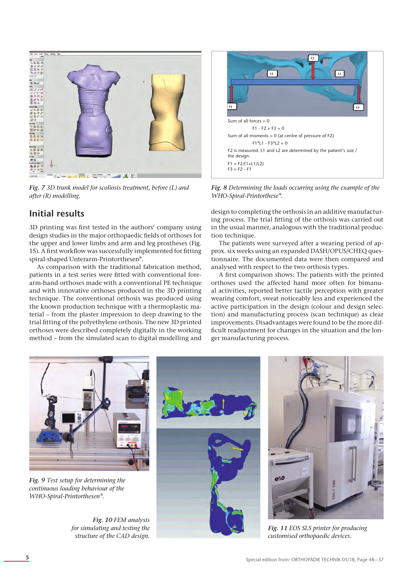

*Fig. 7 3D trunk model for scoliosis treatment, before (L) and after (R) modelling.*

# **Initial results**

3D printing was first tested in the authors' company using design studies in the major orthopaedic fields of orthoses for the upper and lower limbs and arm and leg prostheses (Fig. 15). A first workflow was successfully implemented for fitting spiral-shaped Unterarm-Printorthesen®.

As comparison with the traditional fabrication method, patients in a test series were fitted with conventional forearm-hand orthoses made with a conventional PE technique and with innovative orthoses produced in the 3D printing technique. The conventional orthosis was produced using the known production technique with a thermoplastic material – from the plaster impression to deep drawing to the trial fitting of the polyethylene orthosis. The new 3D printed orthoses were described completely digitally in the working method – from the simulated scan to digital modelling and

*structure of the CAD design.*



*Fig. 8 Determining the loads occurring using the example of the WHO-Spiral-Printorthese®.*

design to completing the orthosis in an additive manufacturing process. The trial fitting of the orthosis was carried out in the usual manner, analogous with the traditional production technique.

The patients were surveyed after a wearing period of approx. six weeks using an expanded DASH/OPUS/CHEQ questionnaire. The documented data were then compared and analysed with respect to the two orthosis types.

A first comparison shows: The patients with the printed orthoses used the affected hand more often for bimanual activities, reported better tactile perception with greater wearing comfort, sweat noticeably less and experienced the active participation in the design (colour and design selection) and manufacturing process (scan technique) as clear improvements. Disadvantages were found to be the more difficult readjustment for changes in the situation and the longer manufacturing process.



*Fig. 11 EOS SLS printer for producing customised orthopaedic devices.*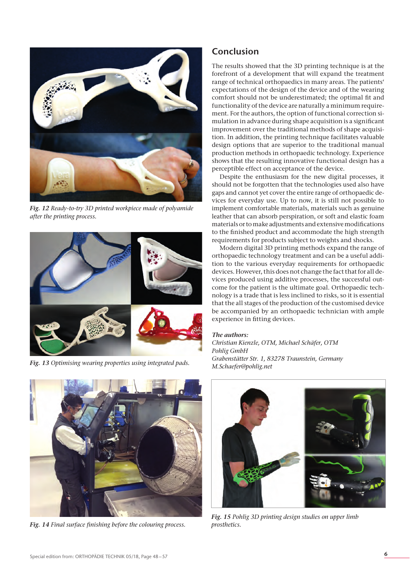

*Fig. 12 Ready-to-try 3D printed workpiece made of polyamide after the printing process.*



*Fig. 13 Optimising wearing properties using integrated pads.*



*Fig. 14 Final surface finishing before the colouring process.*

# **Conclusion**

The results showed that the 3D printing technique is at the forefront of a development that will expand the treatment range of technical orthopaedics in many areas. The patients' expectations of the design of the device and of the wearing comfort should not be underestimated; the optimal fit and functionality of the device are naturally a minimum requirement. For the authors, the option of functional correction simulation in advance during shape acquisition is a significant improvement over the traditional methods of shape acquisition. In addition, the printing technique facilitates valuable design options that are superior to the traditional manual production methods in orthopaedic technology. Experience shows that the resulting innovative functional design has a perceptible effect on acceptance of the device.

Despite the enthusiasm for the new digital processes, it should not be forgotten that the technologies used also have gaps and cannot yet cover the entire range of orthopaedic devices for everyday use. Up to now, it is still not possible to implement comfortable materials, materials such as genuine leather that can absorb perspiration, or soft and elastic foam materials or to make adjustments and extensive modifications to the finished product and accommodate the high strength requirements for products subject to weights and shocks.

Modern digital 3D printing methods expand the range of orthopaedic technology treatment and can be a useful addition to the various everyday requirements for orthopaedic devices. However, this does not change the fact that for all devices produced using additive processes, the successful outcome for the patient is the ultimate goal. Orthopaedic technology is a trade that is less inclined to risks, so it is essential that the all stages of the production of the customised device be accompanied by an orthopaedic technician with ample experience in fitting devices.

#### *The authors:*

*Christian Kienzle, OTM, Michael Schäfer, OTM Pohlig GmbH Grabenstätter Str. 1, 83278 Traunstein, Germany M.Schaefer@pohlig.net*



*Fig. 15 Pohlig 3D printing design studies on upper limb prosthetics.*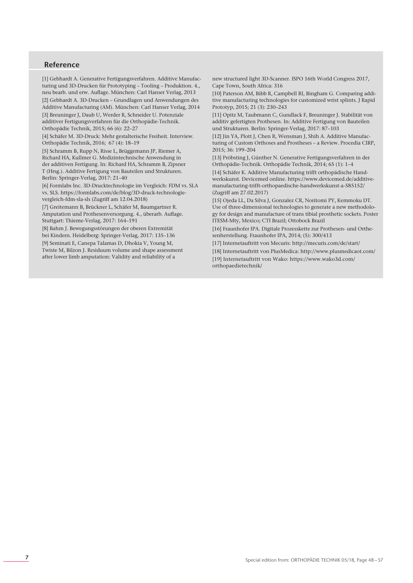#### **Reference**

[1] Gebhardt A. Generative Fertigungsverfahren. Additive Manufacturing und 3D-Drucken für Prototyping – Tooling – Produktion. 4., neu bearb. und erw. Auflage. München: Carl Hanser Verlag, 2013 [2] Gebhardt A. 3D-Drucken – Grundlagen und Anwendungen des Additive Manufacturing (AM). München: Carl Hanser Verlag, 2014

[3] Breuninger J, Daub U, Werder R, Schneider U. Potenziale additiver Fertigungsverfahren für die Orthopädie-Technik. Orthopädie Technik, 2015; 66 (6): 22–27

[4] Schäfer M. 3D-Druck: Mehr gestalterische Freiheit. Interview. Orthopädie Technik, 2016; 67 (4): 18–19

[5] Schramm B, Rupp N, Risse L, Brüggemann JP, Riemer A, Richard HA, Kullmer G. Medizintechnische Anwendung in der additiven Fertigung. In: Richard HA, Schramm B, Zipsner T (Hrsg.). Additive Fertigung von Bauteilen und Strukturen. Berlin: Springer-Verlag, 2017: 21–40

[6] Formlabs Inc. 3D-Drucktechnologie im Vergleich: FDM vs. SLA vs. SLS. https://formlabs.com/de/blog/3D-druck-technologievergleich-fdm-sla-sls (Zugriff am 12.04.2018)

[7] Greitemann B, Brückner L, Schäfer M, Baumgartner R. Amputation und Prothesenversorgung. 4., überarb. Auflage. Stuttgart: Thieme-Verlag, 2017: 164–191

[8] Bahm J. Bewegungsstörungen der oberen Extremität bei Kindern. Heidelberg: Springer-Verlag, 2017: 135–136

[9] Seminati E, Canepa Talamas D, Dhokia V, Young M, Twiste M, Bilzon J. Residuum volume and shape assessment after lower limb amputation: Validity and reliability of a

new structured light 3D-Scanner. ISPO 16th World Congress 2017, Cape Town, South Africa: 316

[10] Paterson AM, Bibb R, Campbell RI, Bingham G. Comparing additive manufacturing technologies for customized wrist splints. J Rapid Prototyp, 2015; 21 (3): 230–243

[11] Opitz M, Taubmann C, Gundlack F, Breuninger J. Stabilität von additiv gefertigten Prothesen. In: Additive Fertigung von Bauteilen und Strukturen. Berlin: Springer-Verlag, 2017: 87–103

[12] Jin YA, Plott J, Chen R, Wensman J, Shih A. Additive Manufacturing of Custom Orthoses and Prostheses – a Review. Procedia CIRP, 2015; 36: 199–204

[13] Pröbsting J, Günther N. Generative Fertigungsverfahren in der Orthopädie-Technik. Orthopädie Technik, 2014; 65 (1): 1–4

[14] Schäfer K. Additive Manufacturing trifft orthopädische Handwerkskunst. Devicemed online. https://www.devicemed.de/additivemanufacturing-trifft-orthopaedische-handwerkskunst-a-585152/ (Zugriff am 27.02.2017)

[15] Ojeda LL, Da Silva J, Gonzalez CR, Noritomi PY, Kemmoku DT. Use of three-dimensional technologies to generate a new methodology for design and manufacture of trans tibial prosthetic sockets. Poster ITESM-Mty, Mexico; CTI Brazil; Ottobock Brazil

[16] Fraunhofer IPA. Digitale Prozesskette zur Prothesen- und Orthesenherstellung. Fraunhofer IPA, 2014; (5): 300/413

[17] Internetauftritt von Mecuris: http://mecuris.com/de/start/

[18] Internetauftritt von PlusMedica: http://www.plusmedicaot.com/ [19] Internetauftritt von Wako: https://www.wako3d.com/ orthopaedietechnik/